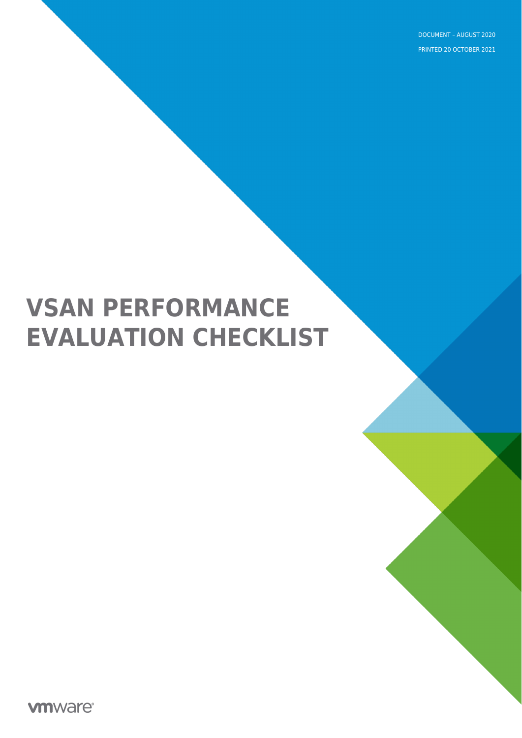DOCUMENT – AUGUST 2020 PRINTED 20 OCTOBER 2021

# **VSAN PERFORMANCE EVALUATION CHECKLIST**

**vmware**®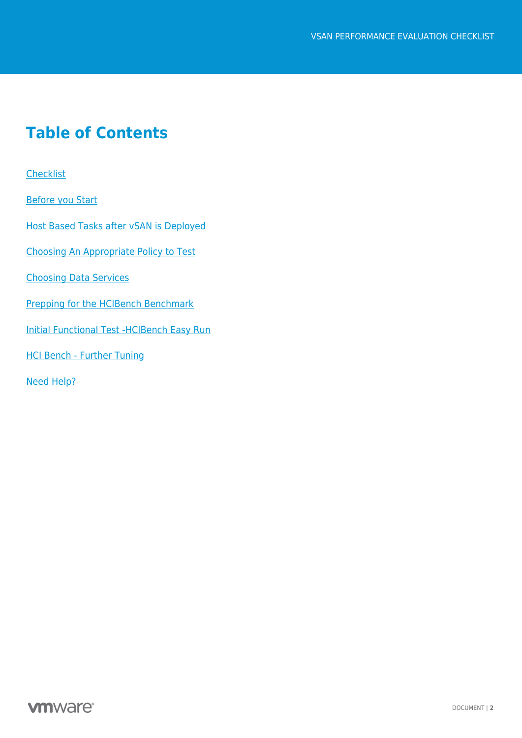### **Table of Contents**

**[Checklist](#page-2-0)** 

[Before you Start](#page-2-1)

[Host Based Tasks after vSAN is Deployed](#page-4-0)

[Choosing An Appropriate Policy to Test](#page-4-1)

[Choosing Data Services](#page-5-0)

[Prepping for the HCIBench Benchmark](#page-7-0)

[Initial Functional Test -HCIBench Easy Run](#page-8-0)

[HCI Bench - Further Tuning](#page-9-0)

[Need Help?](#page-10-0)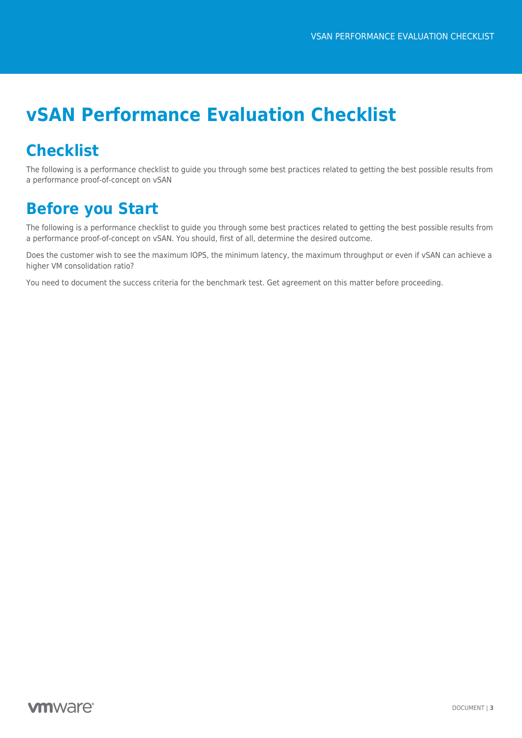# **vSAN Performance Evaluation Checklist**

# <span id="page-2-0"></span>**Checklist**

The following is a performance checklist to guide you through some best practices related to getting the best possible results from a performance proof-of-concept on vSAN

# <span id="page-2-1"></span>**Before you Start**

The following is a performance checklist to guide you through some best practices related to getting the best possible results from a performance proof-of-concept on vSAN. You should, first of all, determine the desired outcome.

Does the customer wish to see the maximum IOPS, the minimum latency, the maximum throughput or even if vSAN can achieve a higher VM consolidation ratio?

You need to document the success criteria for the benchmark test. Get agreement on this matter before proceeding.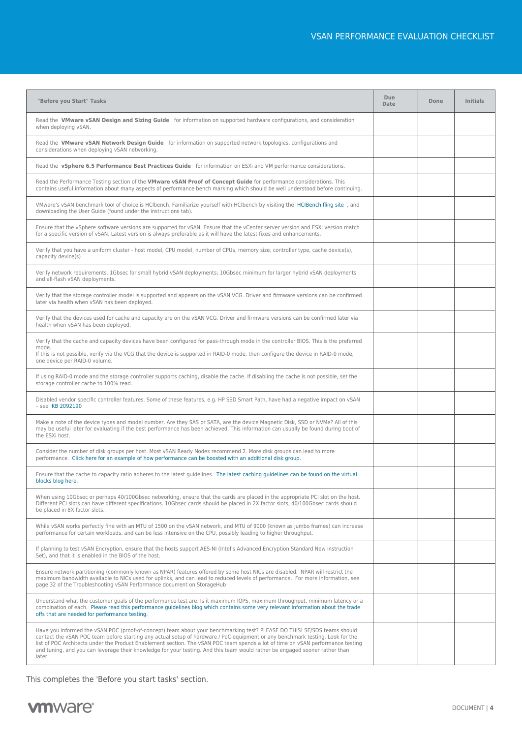| "Before you Start" Tasks                                                                                                                                                                                                                                                                                                                                                                                                                                                                                                              | Due<br>Date | Done | <b>Initials</b> |
|---------------------------------------------------------------------------------------------------------------------------------------------------------------------------------------------------------------------------------------------------------------------------------------------------------------------------------------------------------------------------------------------------------------------------------------------------------------------------------------------------------------------------------------|-------------|------|-----------------|
| Read the VMware vSAN Design and Sizing Guide for information on supported hardware configurations, and consideration<br>when deploying vSAN.                                                                                                                                                                                                                                                                                                                                                                                          |             |      |                 |
| Read the VMware vSAN Network Design Guide for information on supported network topologies, configurations and<br>considerations when deploying vSAN networking.                                                                                                                                                                                                                                                                                                                                                                       |             |      |                 |
| Read the vSphere 6.5 Performance Best Practices Guide for information on ESXi and VM performance considerations.                                                                                                                                                                                                                                                                                                                                                                                                                      |             |      |                 |
| Read the Performance Testing section of the VMware vSAN Proof of Concept Guide for performance considerations. This<br>contains useful information about many aspects of performance bench marking which should be well understood before continuing.                                                                                                                                                                                                                                                                                 |             |      |                 |
| VMware's vSAN benchmark tool of choice is HCIbench. Familiarize yourself with HCIbench by visiting the HCIBench fling site, and<br>downloading the User Guide (found under the instructions tab).                                                                                                                                                                                                                                                                                                                                     |             |      |                 |
| Ensure that the vSphere software versions are supported for vSAN. Ensure that the vCenter server version and ESXi version match<br>for a specific version of vSAN. Latest version is always preferable as it will have the latest fixes and enhancements.                                                                                                                                                                                                                                                                             |             |      |                 |
| Verify that you have a uniform cluster - host model, CPU model, number of CPUs, memory size, controller type, cache device(s),<br>capacity device(s)                                                                                                                                                                                                                                                                                                                                                                                  |             |      |                 |
| Verify network requirements. 1Gbsec for small hybrid vSAN deployments; 10Gbsec minimum for larger hybrid vSAN deployments<br>and all-flash vSAN deployments.                                                                                                                                                                                                                                                                                                                                                                          |             |      |                 |
| Verify that the storage controller model is supported and appears on the vSAN VCG. Driver and firmware versions can be confirmed<br>later via health when vSAN has been deployed.                                                                                                                                                                                                                                                                                                                                                     |             |      |                 |
| Verify that the devices used for cache and capacity are on the vSAN VCG. Driver and firmware versions can be confirmed later via<br>health when vSAN has been deployed.                                                                                                                                                                                                                                                                                                                                                               |             |      |                 |
| Verify that the cache and capacity devices have been configured for pass-through mode in the controller BIOS. This is the preferred<br>mode.                                                                                                                                                                                                                                                                                                                                                                                          |             |      |                 |
| If this is not possible, verify via the VCG that the device is supported in RAID-0 mode, then configure the device in RAID-0 mode,<br>one device per RAID-0 volume.                                                                                                                                                                                                                                                                                                                                                                   |             |      |                 |
| If using RAID-0 mode and the storage controller supports caching, disable the cache. If disabling the cache is not possible, set the<br>storage controller cache to 100% read.                                                                                                                                                                                                                                                                                                                                                        |             |      |                 |
| Disabled vendor specific controller features. Some of these features, e.g. HP SSD Smart Path, have had a negative impact on vSAN<br>- see KB 2092190                                                                                                                                                                                                                                                                                                                                                                                  |             |      |                 |
| Make a note of the device types and model number. Are they SAS or SATA, are the device Magnetic Disk, SSD or NVMe? All of this<br>may be useful later for evaluating if the best performance has been achieved. This information can usually be found during boot of<br>the ESXi host.                                                                                                                                                                                                                                                |             |      |                 |
| Consider the number of disk groups per host. Most vSAN Ready Nodes recommend 2. More disk groups can lead to more<br>performance. Click here for an example of how performance can be boosted with an additional disk group.                                                                                                                                                                                                                                                                                                          |             |      |                 |
| Ensure that the cache to capacity ratio adheres to the latest guidelines. The latest caching guidelines can be found on the virtual<br>blocks blog here.                                                                                                                                                                                                                                                                                                                                                                              |             |      |                 |
| When using 10Gbsec or perhaps 40/100Gbsec networking, ensure that the cards are placed in the appropriate PCI slot on the host.<br>Different PCI slots can have different specifications. 10Gbsec cards should be placed in 2X factor slots, 40/100Gbsec cards should<br>be placed in 8X factor slots.                                                                                                                                                                                                                                |             |      |                 |
| While vSAN works perfectly fine with an MTU of 1500 on the vSAN network, and MTU of 9000 (known as jumbo frames) can increase<br>performance for certain workloads, and can be less intensive on the CPU, possibly leading to higher throughput.                                                                                                                                                                                                                                                                                      |             |      |                 |
| If planning to test vSAN Encryption, ensure that the hosts support AES-NI (Intel's Advanced Encryption Standard New Instruction<br>Set), and that it is enabled in the BIOS of the host.                                                                                                                                                                                                                                                                                                                                              |             |      |                 |
| Ensure network partitioning (commonly known as NPAR) features offered by some host NICs are disabled. NPAR will restrict the<br>maximum bandwidth available to NICs used for uplinks, and can lead to reduced levels of performance. For more information, see<br>page 32 of the Troubleshooting vSAN Performance document on StorageHub                                                                                                                                                                                              |             |      |                 |
| Understand what the customer goals of the performance test are. Is it maximum IOPS, maximum throughput, minimum latency or a<br>combination of each. Please read this performance guidelines blog which contains some very relevant information about the trade<br>offs that are needed for performance testing.                                                                                                                                                                                                                      |             |      |                 |
| Have you informed the vSAN POC (proof-of-concept) team about your benchmarking test? PLEASE DO THIS! SE/SDS teams should<br>contact the vSAN POC team before starting any actual setup of hardware / PoC equipment or any benchmark testing. Look for the<br>list of POC Architects under the Product Enablement section. The vSAN POC team spends a lot of time on vSAN performance testing<br>and tuning, and you can leverage their knowledge for your testing. And this team would rather be engaged sooner rather than<br>later. |             |      |                 |

This completes the 'Before you start tasks' section.

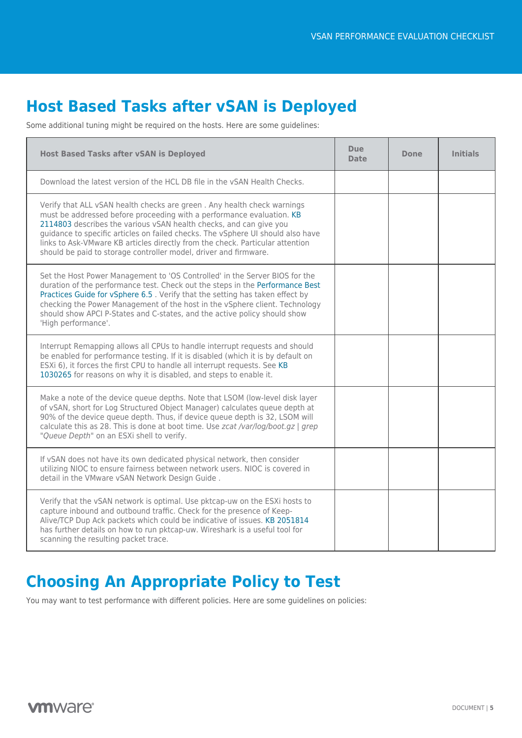# <span id="page-4-0"></span>**Host Based Tasks after vSAN is Deployed**

Some additional tuning might be required on the hosts. Here are some guidelines:

| <b>Host Based Tasks after vSAN is Deployed</b>                                                                                                                                                                                                                                                                                                                                                                                                                 | <b>Due</b><br><b>Date</b> | <b>Done</b> | <b>Initials</b> |
|----------------------------------------------------------------------------------------------------------------------------------------------------------------------------------------------------------------------------------------------------------------------------------------------------------------------------------------------------------------------------------------------------------------------------------------------------------------|---------------------------|-------------|-----------------|
| Download the latest version of the HCL DB file in the vSAN Health Checks.                                                                                                                                                                                                                                                                                                                                                                                      |                           |             |                 |
| Verify that ALL vSAN health checks are green. Any health check warnings<br>must be addressed before proceeding with a performance evaluation. KB<br>2114803 describes the various vSAN health checks, and can give you<br>guidance to specific articles on failed checks. The vSphere UI should also have<br>links to Ask-VMware KB articles directly from the check. Particular attention<br>should be paid to storage controller model, driver and firmware. |                           |             |                 |
| Set the Host Power Management to 'OS Controlled' in the Server BIOS for the<br>duration of the performance test. Check out the steps in the Performance Best<br>Practices Guide for vSphere 6.5. Verify that the setting has taken effect by<br>checking the Power Management of the host in the vSphere client. Technology<br>should show APCI P-States and C-states, and the active policy should show<br>'High performance'.                                |                           |             |                 |
| Interrupt Remapping allows all CPUs to handle interrupt requests and should<br>be enabled for performance testing. If it is disabled (which it is by default on<br>ESXi 6), it forces the first CPU to handle all interrupt requests. See KB<br>1030265 for reasons on why it is disabled, and steps to enable it.                                                                                                                                             |                           |             |                 |
| Make a note of the device queue depths. Note that LSOM (low-level disk layer<br>of vSAN, short for Log Structured Object Manager) calculates queue depth at<br>90% of the device queue depth. Thus, if device queue depth is 32, LSOM will<br>calculate this as 28. This is done at boot time. Use zcat /var/log/boot.gz   grep<br>"Queue Depth" on an ESXi shell to verify.                                                                                   |                           |             |                 |
| If vSAN does not have its own dedicated physical network, then consider<br>utilizing NIOC to ensure fairness between network users. NIOC is covered in<br>detail in the VMware vSAN Network Design Guide.                                                                                                                                                                                                                                                      |                           |             |                 |
| Verify that the vSAN network is optimal. Use pktcap-uw on the ESXi hosts to<br>capture inbound and outbound traffic. Check for the presence of Keep-<br>Alive/TCP Dup Ack packets which could be indicative of issues. KB 2051814<br>has further details on how to run pktcap-uw. Wireshark is a useful tool for<br>scanning the resulting packet trace.                                                                                                       |                           |             |                 |

# <span id="page-4-1"></span>**Choosing An Appropriate Policy to Test**

You may want to test performance with different policies. Here are some guidelines on policies: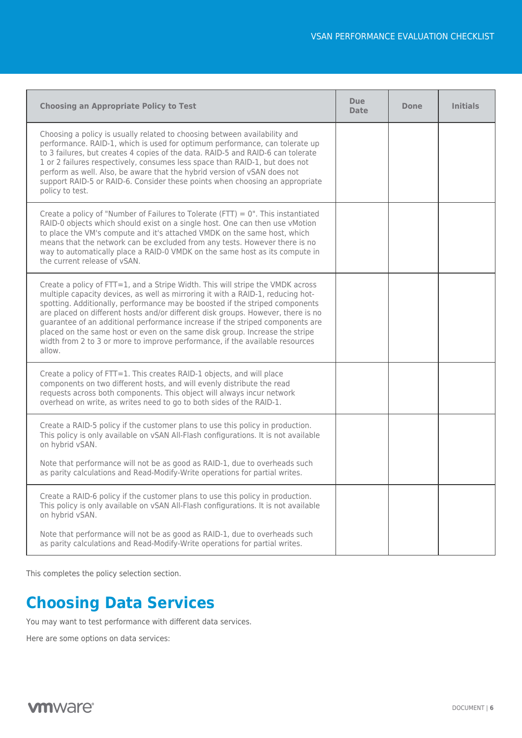| <b>Choosing an Appropriate Policy to Test</b>                                                                                                                                                                                                                                                                                                                                                                                                                                                                                                                                                   | <b>Due</b><br><b>Date</b> | Done | <b>Initials</b> |
|-------------------------------------------------------------------------------------------------------------------------------------------------------------------------------------------------------------------------------------------------------------------------------------------------------------------------------------------------------------------------------------------------------------------------------------------------------------------------------------------------------------------------------------------------------------------------------------------------|---------------------------|------|-----------------|
| Choosing a policy is usually related to choosing between availability and<br>performance. RAID-1, which is used for optimum performance, can tolerate up<br>to 3 failures, but creates 4 copies of the data. RAID-5 and RAID-6 can tolerate<br>1 or 2 failures respectively, consumes less space than RAID-1, but does not<br>perform as well. Also, be aware that the hybrid version of vSAN does not<br>support RAID-5 or RAID-6. Consider these points when choosing an appropriate<br>policy to test.                                                                                       |                           |      |                 |
| Create a policy of "Number of Failures to Tolerate (FTT) = $0$ ". This instantiated<br>RAID-0 objects which should exist on a single host. One can then use vMotion<br>to place the VM's compute and it's attached VMDK on the same host, which<br>means that the network can be excluded from any tests. However there is no<br>way to automatically place a RAID-0 VMDK on the same host as its compute in<br>the current release of vSAN.                                                                                                                                                    |                           |      |                 |
| Create a policy of FTT=1, and a Stripe Width. This will stripe the VMDK across<br>multiple capacity devices, as well as mirroring it with a RAID-1, reducing hot-<br>spotting. Additionally, performance may be boosted if the striped components<br>are placed on different hosts and/or different disk groups. However, there is no<br>quarantee of an additional performance increase if the striped components are<br>placed on the same host or even on the same disk group. Increase the stripe<br>width from 2 to 3 or more to improve performance, if the available resources<br>allow. |                           |      |                 |
| Create a policy of FTT=1. This creates RAID-1 objects, and will place<br>components on two different hosts, and will evenly distribute the read<br>requests across both components. This object will always incur network<br>overhead on write, as writes need to go to both sides of the RAID-1.                                                                                                                                                                                                                                                                                               |                           |      |                 |
| Create a RAID-5 policy if the customer plans to use this policy in production.<br>This policy is only available on vSAN All-Flash configurations. It is not available<br>on hybrid vSAN.<br>Note that performance will not be as good as RAID-1, due to overheads such                                                                                                                                                                                                                                                                                                                          |                           |      |                 |
| as parity calculations and Read-Modify-Write operations for partial writes.                                                                                                                                                                                                                                                                                                                                                                                                                                                                                                                     |                           |      |                 |
| Create a RAID-6 policy if the customer plans to use this policy in production.<br>This policy is only available on vSAN All-Flash configurations. It is not available<br>on hybrid vSAN.                                                                                                                                                                                                                                                                                                                                                                                                        |                           |      |                 |
| Note that performance will not be as good as RAID-1, due to overheads such<br>as parity calculations and Read-Modify-Write operations for partial writes.                                                                                                                                                                                                                                                                                                                                                                                                                                       |                           |      |                 |

This completes the policy selection section.

### <span id="page-5-0"></span>**Choosing Data Services**

You may want to test performance with different data services.

Here are some options on data services:

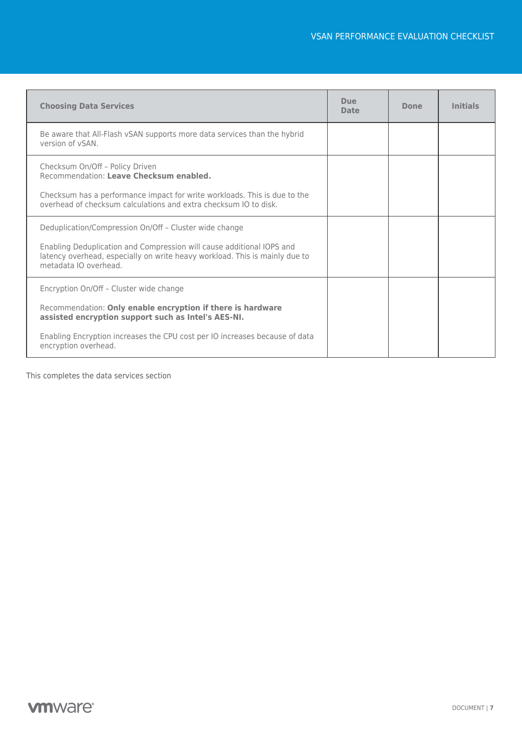| <b>Choosing Data Services</b>                                                                                                                                                                                               | <b>Due</b><br><b>Date</b> | Done | <b>Initials</b> |
|-----------------------------------------------------------------------------------------------------------------------------------------------------------------------------------------------------------------------------|---------------------------|------|-----------------|
| Be aware that All-Flash vSAN supports more data services than the hybrid<br>version of vSAN.                                                                                                                                |                           |      |                 |
| Checksum On/Off - Policy Driven<br>Recommendation: Leave Checksum enabled.<br>Checksum has a performance impact for write workloads. This is due to the<br>overhead of checksum calculations and extra checksum IO to disk. |                           |      |                 |
| Deduplication/Compression On/Off - Cluster wide change                                                                                                                                                                      |                           |      |                 |
| Enabling Deduplication and Compression will cause additional IOPS and<br>latency overhead, especially on write heavy workload. This is mainly due to<br>metadata IO overhead.                                               |                           |      |                 |
| Encryption On/Off - Cluster wide change                                                                                                                                                                                     |                           |      |                 |
| Recommendation: Only enable encryption if there is hardware<br>assisted encryption support such as Intel's AES-NI.                                                                                                          |                           |      |                 |
| Enabling Encryption increases the CPU cost per IO increases because of data<br>encryption overhead.                                                                                                                         |                           |      |                 |

This completes the data services section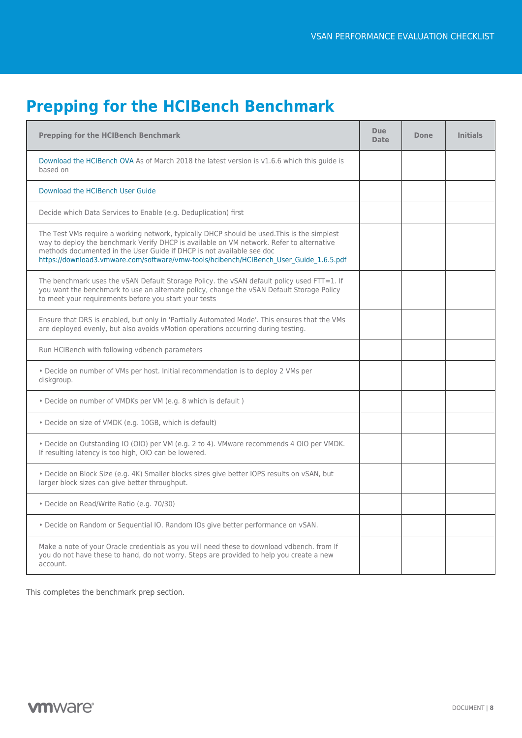# <span id="page-7-0"></span>**Prepping for the HCIBench Benchmark**

| <b>Prepping for the HCIBench Benchmark</b>                                                                                                                                                                                                                                                                                                                 | Due<br><b>Date</b> | Done | <b>Initials</b> |
|------------------------------------------------------------------------------------------------------------------------------------------------------------------------------------------------------------------------------------------------------------------------------------------------------------------------------------------------------------|--------------------|------|-----------------|
| Download the HCIBench OVA As of March 2018 the latest version is v1.6.6 which this quide is<br>based on                                                                                                                                                                                                                                                    |                    |      |                 |
| Download the HCIBench User Guide                                                                                                                                                                                                                                                                                                                           |                    |      |                 |
| Decide which Data Services to Enable (e.g. Deduplication) first                                                                                                                                                                                                                                                                                            |                    |      |                 |
| The Test VMs require a working network, typically DHCP should be used. This is the simplest<br>way to deploy the benchmark Verify DHCP is available on VM network. Refer to alternative<br>methods documented in the User Guide if DHCP is not available see doc<br>https://download3.vmware.com/software/vmw-tools/hcibench/HCIBench User Guide 1.6.5.pdf |                    |      |                 |
| The benchmark uses the vSAN Default Storage Policy. the vSAN default policy used FTT=1. If<br>you want the benchmark to use an alternate policy, change the vSAN Default Storage Policy<br>to meet your requirements before you start your tests                                                                                                           |                    |      |                 |
| Ensure that DRS is enabled, but only in 'Partially Automated Mode'. This ensures that the VMs<br>are deployed evenly, but also avoids vMotion operations occurring during testing.                                                                                                                                                                         |                    |      |                 |
| Run HCIBench with following vdbench parameters                                                                                                                                                                                                                                                                                                             |                    |      |                 |
| . Decide on number of VMs per host. Initial recommendation is to deploy 2 VMs per<br>diskgroup.                                                                                                                                                                                                                                                            |                    |      |                 |
| • Decide on number of VMDKs per VM (e.g. 8 which is default)                                                                                                                                                                                                                                                                                               |                    |      |                 |
| · Decide on size of VMDK (e.g. 10GB, which is default)                                                                                                                                                                                                                                                                                                     |                    |      |                 |
| • Decide on Outstanding IO (OIO) per VM (e.g. 2 to 4). VMware recommends 4 OIO per VMDK.<br>If resulting latency is too high, OIO can be lowered.                                                                                                                                                                                                          |                    |      |                 |
| · Decide on Block Size (e.g. 4K) Smaller blocks sizes give better IOPS results on vSAN, but<br>larger block sizes can give better throughput.                                                                                                                                                                                                              |                    |      |                 |
| · Decide on Read/Write Ratio (e.g. 70/30)                                                                                                                                                                                                                                                                                                                  |                    |      |                 |
| · Decide on Random or Sequential IO. Random IOs give better performance on vSAN.                                                                                                                                                                                                                                                                           |                    |      |                 |
| Make a note of your Oracle credentials as you will need these to download vdbench. from If<br>you do not have these to hand, do not worry. Steps are provided to help you create a new<br>account.                                                                                                                                                         |                    |      |                 |

This completes the benchmark prep section.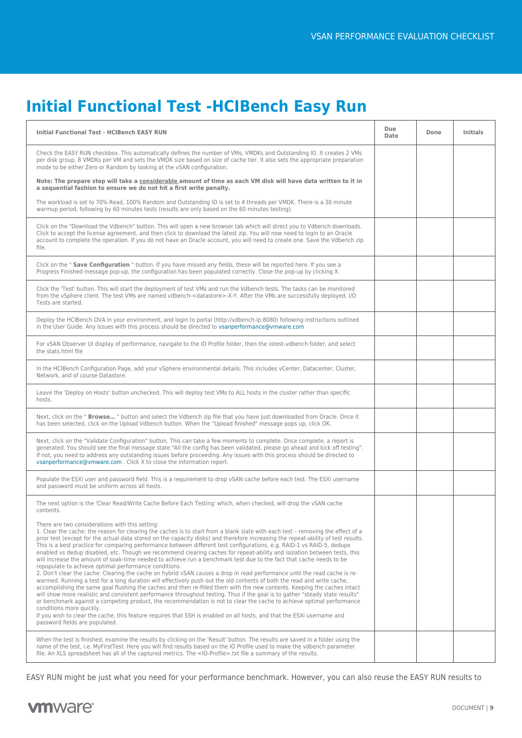# <span id="page-8-0"></span>**Initial Functional Test -HCIBench Easy Run**

| Initial Functional Test - HCIBench EASY RUN                                                                                                                                                                                                                                                                                                                                                                                                                                                                                                                                                                                                                                                                                                                                                                                                                                                                                                                                                                                                                                                                                                                                                                                                                                                                                                                                                                                                                                                                                                                                                        | Due<br>Date | Done | <b>Initials</b> |
|----------------------------------------------------------------------------------------------------------------------------------------------------------------------------------------------------------------------------------------------------------------------------------------------------------------------------------------------------------------------------------------------------------------------------------------------------------------------------------------------------------------------------------------------------------------------------------------------------------------------------------------------------------------------------------------------------------------------------------------------------------------------------------------------------------------------------------------------------------------------------------------------------------------------------------------------------------------------------------------------------------------------------------------------------------------------------------------------------------------------------------------------------------------------------------------------------------------------------------------------------------------------------------------------------------------------------------------------------------------------------------------------------------------------------------------------------------------------------------------------------------------------------------------------------------------------------------------------------|-------------|------|-----------------|
| Check the EASY RUN checkbox. This automatically defines the number of VMs, VMDKs and Outstanding IO. It creates 2 VMs<br>per disk group, 8 VMDKs per VM and sets the VMDK size based on size of cache tier. It also sets the appropriate preparation<br>mode to be either Zero or Random by looking at the vSAN configuration.                                                                                                                                                                                                                                                                                                                                                                                                                                                                                                                                                                                                                                                                                                                                                                                                                                                                                                                                                                                                                                                                                                                                                                                                                                                                     |             |      |                 |
| Note: The prepare step will take a considerable amount of time as each VM disk will have data written to it in<br>a sequential fashion to ensure we do not hit a first write penalty.                                                                                                                                                                                                                                                                                                                                                                                                                                                                                                                                                                                                                                                                                                                                                                                                                                                                                                                                                                                                                                                                                                                                                                                                                                                                                                                                                                                                              |             |      |                 |
| The workload is set to 70% Read, 100% Random and Outstanding IO is set to 4 threads per VMDK. There is a 30 minute<br>warmup period, following by 60 minutes tests (results are only based on the 60 minutes testing).                                                                                                                                                                                                                                                                                                                                                                                                                                                                                                                                                                                                                                                                                                                                                                                                                                                                                                                                                                                                                                                                                                                                                                                                                                                                                                                                                                             |             |      |                 |
| Click on the "Download the Vdbench" button. This will open a new browser tab which will direct you to Vdbench downloads.<br>Click to accept the license agreement, and then click to download the latest zip. You will now need to login to an Oracle<br>account to complete the operation. If you do not have an Oracle account, you will need to create one. Save the Vdbench zip<br>file.                                                                                                                                                                                                                                                                                                                                                                                                                                                                                                                                                                                                                                                                                                                                                                                                                                                                                                                                                                                                                                                                                                                                                                                                       |             |      |                 |
| Click on the " Save Configuration " button. If you have missed any fields, these will be reported here. If you see a<br>Progress Finished message pop-up, the configuration has been populated correctly. Close the pop-up by clicking X.                                                                                                                                                                                                                                                                                                                                                                                                                                                                                                                                                                                                                                                                                                                                                                                                                                                                                                                                                                                                                                                                                                                                                                                                                                                                                                                                                          |             |      |                 |
| Click the 'Test' button. This will start the deployment of test VMs and run the Vdbench tests. The tasks can be monitored<br>from the vSphere client. The test VMs are named vdbench- <datastore>-X-Y. After the VMs are successfully deployed, I/O<br/>Tests are started.</datastore>                                                                                                                                                                                                                                                                                                                                                                                                                                                                                                                                                                                                                                                                                                                                                                                                                                                                                                                                                                                                                                                                                                                                                                                                                                                                                                             |             |      |                 |
| Deploy the HCIBench OVA in your environment, and login to portal (http://vdbench-ip:8080) following instructions outlined<br>in the User Guide. Any issues with this process should be directed to vsanperformance@vmware.com                                                                                                                                                                                                                                                                                                                                                                                                                                                                                                                                                                                                                                                                                                                                                                                                                                                                                                                                                                                                                                                                                                                                                                                                                                                                                                                                                                      |             |      |                 |
| For vSAN Observer UI display of performance, navigate to the IO Profile folder, then the iotest-vdbench folder, and select<br>the stats.html file                                                                                                                                                                                                                                                                                                                                                                                                                                                                                                                                                                                                                                                                                                                                                                                                                                                                                                                                                                                                                                                                                                                                                                                                                                                                                                                                                                                                                                                  |             |      |                 |
| In the HCIBench Configuration Page, add your vSphere environmental details. This includes vCenter, Datacenter, Cluster,<br>Network, and of course Datastore.                                                                                                                                                                                                                                                                                                                                                                                                                                                                                                                                                                                                                                                                                                                                                                                                                                                                                                                                                                                                                                                                                                                                                                                                                                                                                                                                                                                                                                       |             |      |                 |
| Leave the 'Deploy on Hosts' button unchecked. This will deploy test VMs to ALL hosts in the cluster rather than specific<br>hosts.                                                                                                                                                                                                                                                                                                                                                                                                                                                                                                                                                                                                                                                                                                                                                                                                                                                                                                                                                                                                                                                                                                                                                                                                                                                                                                                                                                                                                                                                 |             |      |                 |
| Next, click on the " Browse " button and select the Vdbench zip file that you have just downloaded from Oracle. Once it<br>has been selected, click on the Upload Vdbench button. When the "Upload finished" message pops up, click OK.                                                                                                                                                                                                                                                                                                                                                                                                                                                                                                                                                                                                                                                                                                                                                                                                                                                                                                                                                                                                                                                                                                                                                                                                                                                                                                                                                            |             |      |                 |
| Next, click on the "Validate Configuration" button. This can take a few moments to complete. Once complete, a report is<br>generated. You should see the final message state "All the config has been validated, please go ahead and kick off testing".<br>If not, you need to address any outstanding issues before proceeding. Any issues with this process should be directed to<br>vsanperformance@vmware.com. Click X to close the information report.                                                                                                                                                                                                                                                                                                                                                                                                                                                                                                                                                                                                                                                                                                                                                                                                                                                                                                                                                                                                                                                                                                                                        |             |      |                 |
| Populate the ESXi user and password field. This is a requirement to drop vSAN cache before each test. The ESXi username<br>and password must be uniform across all hosts.                                                                                                                                                                                                                                                                                                                                                                                                                                                                                                                                                                                                                                                                                                                                                                                                                                                                                                                                                                                                                                                                                                                                                                                                                                                                                                                                                                                                                          |             |      |                 |
| The next option is the 'Clear Read/Write Cache Before Each Testing' which, when checked, will drop the vSAN cache<br>contents.                                                                                                                                                                                                                                                                                                                                                                                                                                                                                                                                                                                                                                                                                                                                                                                                                                                                                                                                                                                                                                                                                                                                                                                                                                                                                                                                                                                                                                                                     |             |      |                 |
| There are two considerations with this setting:<br>1. Clear the cache: the reason for clearing the caches is to start from a blank slate with each test - removing the effect of a<br>prior test (except for the actual data stored on the capacity disks) and therefore increasing the repeat-ability of test results.<br>This is a best practice for comparing performance between different test configurations, e.g. RAID-1 vs RAID-5, dedupe<br>enabled vs dedup disabled, etc. Though we recommend clearing caches for repeat-ability and isolation between tests, this<br>will increase the amount of soak-time needed to achieve run a benchmark test due to the fact that cache needs to be<br>repopulate to achieve optimal performance conditions.<br>2. Don't clear the cache: Clearing the cache on hybrid vSAN causes a drop in read performance until the read cache is re-<br>warmed. Running a test for a long duration will effectively push out the old contents of both the read and write cache,<br>accomplishing the same goal flushing the caches and then re-filled them with the new contents. Keeping the caches intact<br>will show more realistic and consistent performance throughout testing. Thus if the goal is to gather "steady state results"<br>or benchmark against a competing product, the recommendation is not to clear the cache to achieve optimal performance<br>conditions more quickly.<br>If you wish to clear the cache, this feature requires that SSH is enabled on all hosts, and that the ESXi username and<br>password fields are populated. |             |      |                 |
| When the test is finished, examine the results by clicking on the 'Result' button. The results are saved in a folder using the<br>name of the test, i.e. MyFirstTest. Here you will find results based on the IO Profile used to make the vdbench parameter<br>file. An XLS spreadsheet has all of the captured metrics. The <io-profile>.txt file a summary of the results.</io-profile>                                                                                                                                                                                                                                                                                                                                                                                                                                                                                                                                                                                                                                                                                                                                                                                                                                                                                                                                                                                                                                                                                                                                                                                                          |             |      |                 |

EASY RUN might be just what you need for your performance benchmark. However, you can also reuse the EASY RUN results to

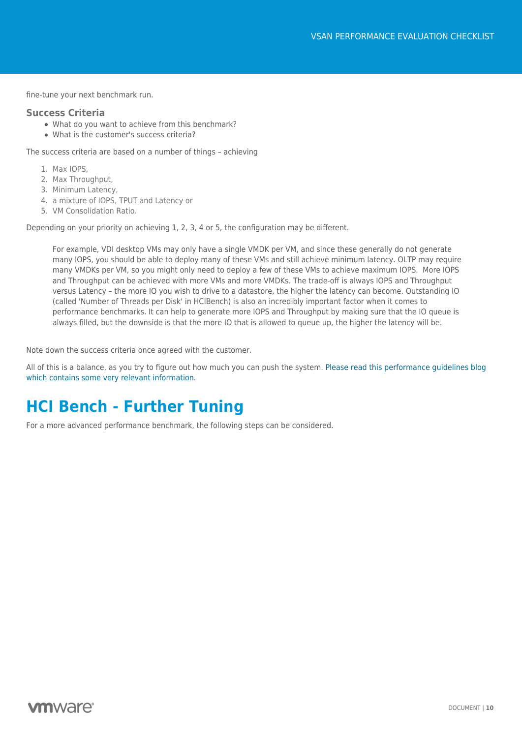fine-tune your next benchmark run.

#### **Success Criteria**

- What do you want to achieve from this benchmark?
- What is the customer's success criteria?

The success criteria are based on a number of things – achieving

- 1. Max IOPS,
- 2. Max Throughput,
- 3. Minimum Latency,
- 4. a mixture of IOPS, TPUT and Latency or
- 5. VM Consolidation Ratio.

Depending on your priority on achieving 1, 2, 3, 4 or 5, the configuration may be different.

For example, VDI desktop VMs may only have a single VMDK per VM, and since these generally do not generate many IOPS, you should be able to deploy many of these VMs and still achieve minimum latency. OLTP may require many VMDKs per VM, so you might only need to deploy a few of these VMs to achieve maximum IOPS. More IOPS and Throughput can be achieved with more VMs and more VMDKs. The trade-off is always IOPS and Throughput versus Latency – the more IO you wish to drive to a datastore, the higher the latency can become. Outstanding IO (called 'Number of Threads per Disk' in HCIBench) is also an incredibly important factor when it comes to performance benchmarks. It can help to generate more IOPS and Throughput by making sure that the IO queue is always filled, but the downside is that the more IO that is allowed to queue up, the higher the latency will be.

Note down the success criteria once agreed with the customer.

All of this is a balance, as you try to figure out how much you can push the system. [Please read this performance guidelines blog](https://blogs.vmware.com/virtualblocks/2015/08/12/pro-tips-for-storage-performance-testing/) [which contains some very relevant information.](https://blogs.vmware.com/virtualblocks/2015/08/12/pro-tips-for-storage-performance-testing/)

### <span id="page-9-0"></span>**HCI Bench - Further Tuning**

For a more advanced performance benchmark, the following steps can be considered.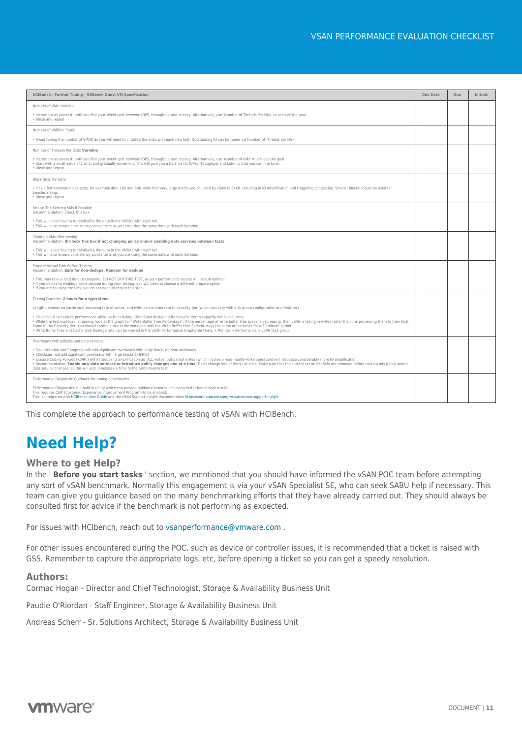| HCIBench - Further Tuning - VDBench Guest VM Specification                                                                                                                                                                                                                                                                                                                                                                                                                                                                                                                                                                                                                            | Due Date | Due | Initials |
|---------------------------------------------------------------------------------------------------------------------------------------------------------------------------------------------------------------------------------------------------------------------------------------------------------------------------------------------------------------------------------------------------------------------------------------------------------------------------------------------------------------------------------------------------------------------------------------------------------------------------------------------------------------------------------------|----------|-----|----------|
| Number of VMs: Variable                                                                                                                                                                                                                                                                                                                                                                                                                                                                                                                                                                                                                                                               |          |     |          |
| . Increment as you test, until you find your sweet spot between IOPS, throughput and latency. Alternatively, use 'Number of Threads Per Disk' to achieve the goal.<br>• Rinse and repeat                                                                                                                                                                                                                                                                                                                                                                                                                                                                                              |          |     |          |
| Number of VMDKs: Static                                                                                                                                                                                                                                                                                                                                                                                                                                                                                                                                                                                                                                                               |          |     |          |
| . Avoid tuning the number of VMDK as you will need to initialize the disks with each new test. Outstanding IO can be tuned via Number of Threads per Disk.                                                                                                                                                                                                                                                                                                                                                                                                                                                                                                                            |          |     |          |
| Number of Threads Per Disk: Variable                                                                                                                                                                                                                                                                                                                                                                                                                                                                                                                                                                                                                                                  |          |     |          |
| . Increment as you test, until you find your sweet spot between IOPS, throughput and latency. Alternatively, use 'Number of VMs' to achieve the goal.<br>. Start with a small value of 1 or 2, and gradually increment. This will give you a balance for IOPS, Throughput and Latency that you can fine tune.<br>• Rinse and repeat                                                                                                                                                                                                                                                                                                                                                   |          |     |          |
| Block Size: Variable                                                                                                                                                                                                                                                                                                                                                                                                                                                                                                                                                                                                                                                                  |          |     |          |
| . Pick a few common block sizes, for example 4KB, 16K and 64K. Note that very large blocks are chunked by vSAN to 64KB, resulting in IO amplification and triggering congestion. Smaller blocks should be used for<br>benchmarking.<br>• Rinse and repeat                                                                                                                                                                                                                                                                                                                                                                                                                             |          |     |          |
| Re-use The Existing VMs If Possible<br>Recommendation: Check this box                                                                                                                                                                                                                                                                                                                                                                                                                                                                                                                                                                                                                 |          |     |          |
| . This will avoid having to reinitialize the data in the VMDKs with each run.<br>. This will also ensure consistency across tests as you are using the same data with each iteration.                                                                                                                                                                                                                                                                                                                                                                                                                                                                                                 |          |     |          |
| Clean up VMs after testing<br>Recommendation: Uncheck this box if not changing policy and/or enabling data services between tests                                                                                                                                                                                                                                                                                                                                                                                                                                                                                                                                                     |          |     |          |
| . This will avoid having to reinitialize the data in the VMDKs with each run.<br>. This will also ensure consistency across tests as you are using the same data with each iteration.                                                                                                                                                                                                                                                                                                                                                                                                                                                                                                 |          |     |          |
| Prepare Virtual Disk Before Testing<br>Recommendation: Zero for non-dedupe, Random for dedupe                                                                                                                                                                                                                                                                                                                                                                                                                                                                                                                                                                                         |          |     |          |
| . This may take a long time to complete. DO NOT SKIP THIS TEST, or your performance results will be sub optimal<br>. If you decide to enable/disable dedupe during your testing, you will need to choose a different prepare option<br>. If you are re-using the VMs, you do not need to repeat this step                                                                                                                                                                                                                                                                                                                                                                             |          |     |          |
| Testing Duration: 2 hours for a typical run                                                                                                                                                                                                                                                                                                                                                                                                                                                                                                                                                                                                                                           |          |     |          |
| Length depends on cache size, incoming rate of writes, and write cache drain rate to capacity tier (which can vary with disk group configuration and features)                                                                                                                                                                                                                                                                                                                                                                                                                                                                                                                        |          |     |          |
| . Objective is to capture performance while cache is being utilized and destaging from cache tier to capacity tier is occurring.<br>. While the test workload is running, look at the graph for "Write Buffer Free Percentage". If the percentage of write buffer free space is decreasing, then vSAN is taking in writes faster than it is processing them to the<br>home in the Capacity tier. You should continue to run the workload until the Write Buffer Free Percent stays the same or increases for a 30 minute period.<br>. Write Buffer Free and Cache Disk Destage rate can be viewed in the vSAN Performance Graphs via Hosts > Monitor > Performance > vSAN Disk group  |          |     |          |
| Overheads with policies and data services                                                                                                                                                                                                                                                                                                                                                                                                                                                                                                                                                                                                                                             |          |     |          |
| . Deduplication and Compress will add significant overheads with large block, random workloads<br>. Checksum will add significant overheads with large blocks (>64KB)<br>· Erasure Coding Policies (R5/R6) will introduce IO amplification on ALL writes, but partial writes (which involve a read-modify-write operation) will introduce considerably more IO amplification.<br>. Recommendation: Enable new data services or introduce policy changes one at a time. Don't change lots of things at once. Make sure that the current set of test VMs are removed before making any policy and/or<br>data service changes, as this will add unnecessary time to the performance test |          |     |          |
| Performance Diagnostic Guidance for tuning benchmarks                                                                                                                                                                                                                                                                                                                                                                                                                                                                                                                                                                                                                                 |          |     |          |
| Performance Diagnostics is a built-in utility which can provide quidance towards achieving better benchmark results.<br>This requires CEIP (Customer Experience Improvement Program) to be enabled.<br>This is integrated with HCIBench User Guide and the vSAN Support Insight documentation https://core.vmware.com/resource/vsan-support-insight                                                                                                                                                                                                                                                                                                                                   |          |     |          |

This complete the approach to performance testing of vSAN with HCIBench.

# <span id="page-10-0"></span>**Need Help?**

#### **Where to get Help?**

In the ' **Before you start tasks** ' section, we mentioned that you should have informed the vSAN POC team before attempting any sort of vSAN benchmark. Normally this engagement is via your vSAN Specialist SE, who can seek SABU help if necessary. This team can give you guidance based on the many benchmarking efforts that they have already carried out. They should always be consulted first for advice if the benchmark is not performing as expected.

For issues with HCIbench, reach out to [vsanperformance@vmware.com](mailto:vsanperformance@vmware.com) .

For other issues encountered during the POC, such as device or controller issues, it is recommended that a ticket is raised with GSS. Remember to capture the appropriate logs, etc, before opening a ticket so you can get a speedy resolution.

#### **Authors:**

Cormac Hogan - Director and Chief Technologist, Storage & Availability Business Unit

Paudie O'Riordan - Staff Engineer, Storage & Availability Business Unit

Andreas Scherr - Sr. Solutions Architect, Storage & Availability Business Unit